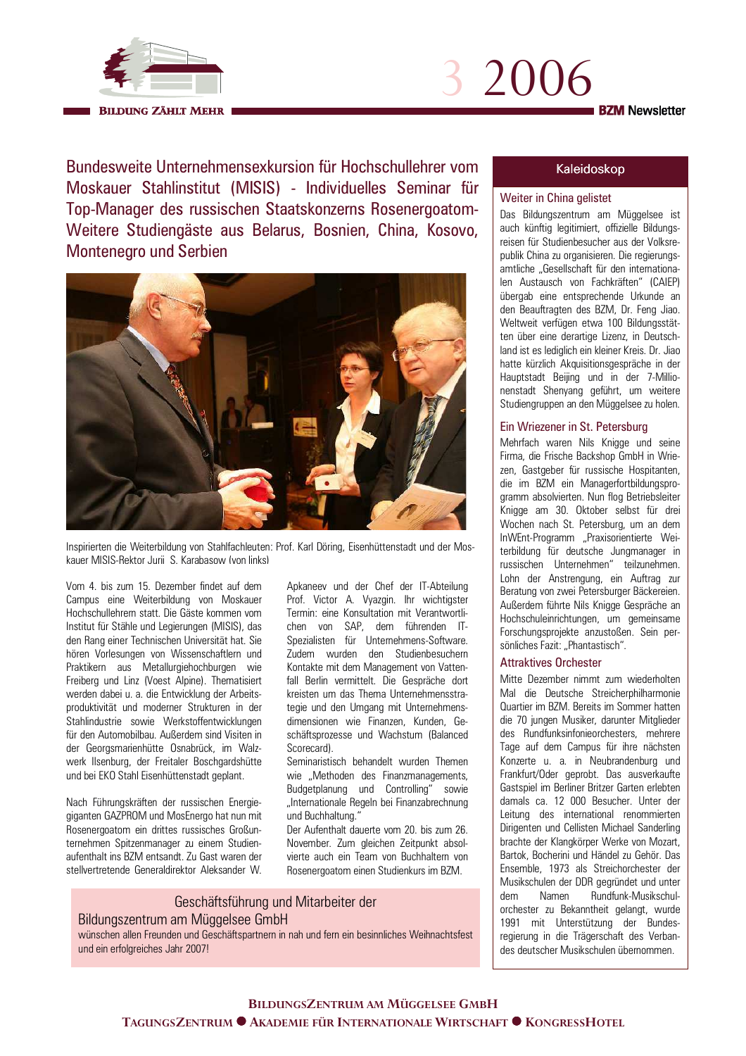



Bundesweite Unternehmensexkursion für Hochschullehrer vom Moskauer Stahlinstitut (MISIS) - Individuelles Seminar für Top-Manager des russischen Staatskonzerns Rosenergoatom-Weitere Studiengäste aus Belarus, Bosnien, China, Kosovo, **Montenegro und Serbien** 



Inspirierten die Weiterbildung von Stahlfachleuten: Prof. Karl Döring, Eisenhüttenstadt und der Moskauer MISIS-Rektor Jurii S Karabasow (von links)

Vom 4. bis zum 15. Dezember findet auf dem Campus eine Weiterbildung von Moskauer Hochschullehrem statt Die Gäste kommen vom Institut für Stähle und Legierungen (MISIS), das den Rang einer Technischen Universität hat. Sie hören Vorlesungen von Wissenschaftlern und Praktikern aus Metallurgiehochburgen wie Freiberg und Linz (Voest Alpine). Thematisiert werden dabei u. a. die Entwicklung der Arbeitsproduktivität und moderner Strukturen in der Stahlindustrie sowie Werkstoffentwicklungen für den Automobilbau. Außerdem sind Visiten in der Georgsmarienhütte Osnabrück, im Walzwerk Ilsenburg, der Freitaler Boschgardshütte und bei EKO Stahl Eisenhüttenstadt geplant.

Nach Führungskräften der russischen Energiegiganten GAZPROM und MosEnergo hat nun mit Rosenergoatom ein drittes russisches Großunternehmen Spitzenmanager zu einem Studienaufenthalt ins BZM entsandt. Zu Gast waren der stellvertretende Generaldirektor Aleksander W.

Apkaneev und der Chef der IT-Abteilung Prof. Victor A. Vyazgin. Ihr wichtigster Termin: eine Konsultation mit Verantwortlichen von SAP, dem führenden IT-Spezialisten für Unternehmens-Software. Zudem wurden den Studienbesuchern Kontakte mit dem Management von Vattenfall Berlin vermittelt. Die Gespräche dort kreisten um das Thema Unternehmensstrategie und den Umgang mit Unternehmensdimensionen wie Finanzen, Kunden, Geschäftsprozesse und Wachstum (Balanced Scorecard).

Seminaristisch behandelt wurden Themen wie "Methoden des Finanzmanagements, Budgetplanung und Controlling" sowie "Internationale Regeln bei Finanzabrechnung und Buchhaltung."

Der Aufenthalt dauerte vom 20. bis zum 26. November. Zum gleichen Zeitpunkt absolvierte auch ein Team von Buchhaltern von Rosenergoatom einen Studienkurs im BZM.

# Geschäftsführung und Mitarbeiter der

## Bildungszentrum am Müggelsee GmbH

wünschen allen Freunden und Geschäftspartnern in nah und fem ein besinnliches Weihnachtsfest und ein erfolgreiches Jahr 2007!

#### Kaleidoskop

### Weiter in China gelistet

Das Bildungszentrum am Müggelsee ist auch künftig legitimiert, offizielle Bildungsreisen für Studienbesucher aus der Volksrepublik China zu organisieren. Die regierungsamtliche "Gesellschaft für den internationalen Austausch von Fachkräften" (CAIEP) übergab eine entsprechende Urkunde an den Beauftragten des BZM, Dr. Feng Jiao. Weltweit verfügen etwa 100 Bildungsstätten über eine derartige Lizenz, in Deutschland ist es lediglich ein kleiner Kreis. Dr. Jiao hatte kürzlich Akquisitionsgespräche in der Hauptstadt Beiling und in der 7-Millionenstadt Shenyang geführt, um weitere Studiengruppen an den Müggelsee zu holen.

#### Ein Wriezener in St. Petersburg

Mehrfach waren Nils Knigge und seine Firma, die Frische Backshop GmbH in Wriezen, Gastgeber für russische Hospitanten, die im BZM ein Managerfortbildungsprogramm absolvierten. Nun flog Betriebsleiter Knigge am 30. Oktober selbst für drei Wochen nach St. Petersburg, um an dem InWEnt-Programm "Praxisorientierte Weiterbildung für deutsche Jungmanager in russischen Unternehmen" teilzunehmen. Lohn der Anstrengung, ein Auftrag zur Beratung von zwei Petersburger Bäckereien. Außerdem führte Nils Knigge Gespräche an Hochschuleinrichtungen, um gemeinsame Forschungsprojekte anzustoßen. Sein persönliches Fazit: "Phantastisch".

#### **Attraktives Orchester**

Mitte Dezember nimmt zum wiederholten Mal die Deutsche Streicherphilharmonie Quartier im BZM. Bereits im Sommer hatten die 70 jungen Musiker, darunter Mitglieder des Rundfunksinfonieorchesters. mehrere Tage auf dem Campus für ihre nächsten Konzerte u. a. in Neubrandenburg und Frankfurt/Oder geprobt. Das ausverkaufte Gastspiel im Berliner Britzer Garten erlebten damals ca. 12 000 Besucher. Unter der Leitung des international renommierten Dirigenten und Cellisten Michael Sanderling brachte der Klangkörper Werke von Mozart. Bartok, Bocherini und Händel zu Gehör. Das Ensemble, 1973 als Streichorchester der Musikschulen der DDR gegründet und unter Rundfunk-Musikschuldem Namen orchester zu Bekanntheit gelangt, wurde 1991 mit Unterstützung der Bundesregierung in die Trägerschaft des Verbandes deutscher Musikschulen übernommen.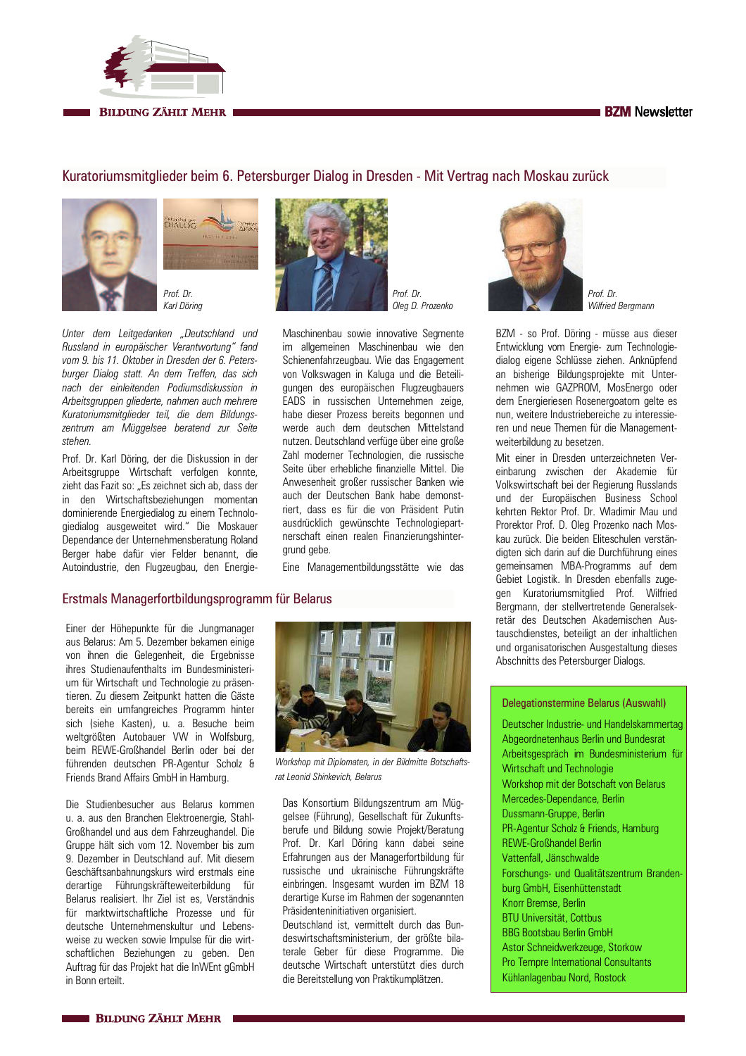#### **BZM** Newsletter



**BILDUNG ZÄHLT MEHR** 

## Kuratoriumsmitglieder beim 6. Petersburger Dialog in Dresden - Mit Vertrag nach Moskau zurück





Prof. Dr. Karl Döring

Unter dem Leitgedanken "Deutschland und Russland in europäischer Verantwortung" fand vom 9. bis 11. Oktober in Dresden der 6. Petersburger Dialog statt. An dem Treffen, das sich nach der einleitenden Podiumsdiskussion in Arbeitsgruppen gliederte, nahmen auch mehrere Kuratoriumsmitglieder teil, die dem Bildungszentrum am Müggelsee beratend zur Seite stehen.

Prof. Dr. Karl Döring, der die Diskussion in der Arbeitsgruppe Wirtschaft verfolgen konnte, zieht das Fazit so: "Es zeichnet sich ab, dass der in den Wirtschaftsbeziehungen momentan dominierende Energiedialog zu einem Technologiedialog ausgeweitet wird." Die Moskauer Dependance der Unternehmensberatung Roland Berger habe dafür vier Felder benannt, die Autoindustrie, den Flugzeugbau, den Energie-



Prof. Dr. Oleg D. Prozenko

Maschinenbau sowie innovative Segmente im allgemeinen Maschinenbau wie den Schienenfahrzeugbau. Wie das Engagement von Volkswagen in Kaluga und die Beteiligungen des europäischen Flugzeugbauers EADS in russischen Unternehmen zeige, habe dieser Prozess bereits begonnen und werde auch dem deutschen Mittelstand nutzen. Deutschland verfüge über eine große Zahl moderner Technologien, die russische Seite über erhebliche finanzielle Mittel. Die Anwesenheit großer russischer Banken wie auch der Deutschen Bank habe demonstriert, dass es für die von Präsident Putin ausdrücklich gewünschte Technologiepartnerschaft einen realen Finanzierungshintergrund gebe.

Eine Managementbildungsstätte wie das

### Erstmals Managerfortbildungsprogramm für Belarus

Einer der Höhepunkte für die Jungmanager aus Belarus: Am 5. Dezember bekamen einige von ihnen die Gelegenheit, die Ergebnisse ihres Studienaufenthalts im Bundesministerium für Wirtschaft und Technologie zu präsentieren. Zu diesem Zeitpunkt hatten die Gäste bereits ein umfangreiches Programm hinter sich (siehe Kasten), u. a. Besuche beim weltgrößten Autobauer VW in Wolfsburg. beim RFWF-Großhandel Berlin oder bei der führenden deutschen PR-Agentur Scholz & Friends Brand Affairs GmbH in Hamburg.

Die Studienbesucher aus Belarus kommen u. a. aus den Branchen Elektroenergie, Stahl-Großhandel und aus dem Fahrzeughandel. Die Gruppe hält sich vom 12. November bis zum 9. Dezember in Deutschland auf. Mit diesem Geschäftsanbahnungskurs wird erstmals eine derartige Führungskräfteweiterbildung für Belarus realisiert Ihr Ziel ist es Verständnis für marktwirtschaftliche Prozesse und für deutsche Unternehmenskultur und Lebensweise zu wecken sowie Impulse für die wirtschaftlichen Beziehungen zu geben. Den Auftrag für das Projekt hat die InWEnt gGmbH in Bonn erteilt.



Workshop mit Diplomaten, in der Bildmitte Botschaftsrat Leonid Shinkevich, Belarus

Das Konsortium Bildungszentrum am Müggelsee (Führung), Gesellschaft für Zukunftsberufe und Bildung sowie Projekt/Beratung Prof. Dr. Karl Döring kann dabei seine Erfahrungen aus der Managerfortbildung für russische und ukrainische Führungskräfte einbringen. Insgesamt wurden im BZM 18 derartige Kurse im Rahmen der sogenannten Präsidenteninitiativen organisiert.

Deutschland ist, vermittelt durch das Bundeswirtschaftsministerium, der größte bilaterale Geber für diese Programme Die deutsche Wirtschaft unterstützt dies durch die Bereitstellung von Praktikumplätzen.



Prof. Dr. Wilfried Bergmann

BZM - so Prof. Döring - müsse aus dieser Entwicklung vom Energie- zum Technologiedialog eigene Schlüsse ziehen. Anknüpfend an bisherige Bildungsprojekte mit Unternehmen wie GAZPROM, MosEnergo oder dem Energieriesen Rosenergoatom gelte es nun, weitere Industriebereiche zu interessieren und neue Themen für die Managementweiterbildung zu besetzen.

Mit einer in Dresden unterzeichneten Vereinbarung zwischen der Akademie für Volkswirtschaft bei der Regierung Russlands und der Europäischen Business School kehrten Rektor Prof Dr Wladimir Mau und Prorektor Prof. D. Oleg Prozenko nach Moskau zurück. Die beiden Eliteschulen verständigten sich darin auf die Durchführung eines gemeinsamen MBA-Programms auf dem Gebiet Logistik. In Dresden ebenfalls zugegen Kuratoriumsmitglied Prof. Wilfried Bergmann, der stellvertretende Generalsekretär des Deutschen Akademischen Austauschdienstes, beteiligt an der inhaltlichen und organisatorischen Ausgestaltung dieses Abschnitts des Petersburger Dialogs.

#### Delegationstermine Belarus (Auswahl)

Deutscher Industrie- und Handelskammertag Abgeordnetenhaus Berlin und Bundesrat Arbeitsgespräch im Bundesministerium für Wirtschaft und Technologie Workshop mit der Botschaft von Belarus Mercedes-Dependance, Berlin Dussmann-Gruppe, Berlin PR-Agentur Scholz & Friends, Hamburg **REWE-Großbandel Berlin** Vattenfall, Jänschwalde Forschungs- und Qualitätszentrum Brandenburg GmbH Fisenhüttenstadt Knorr Bremse, Berlin **BTU Universität, Cottbus BBG Bootsbau Berlin GmbH** Astor Schneidwerkzeuge, Storkow Pro Tempre International Consultants Kühlanlagenbau Nord, Rostock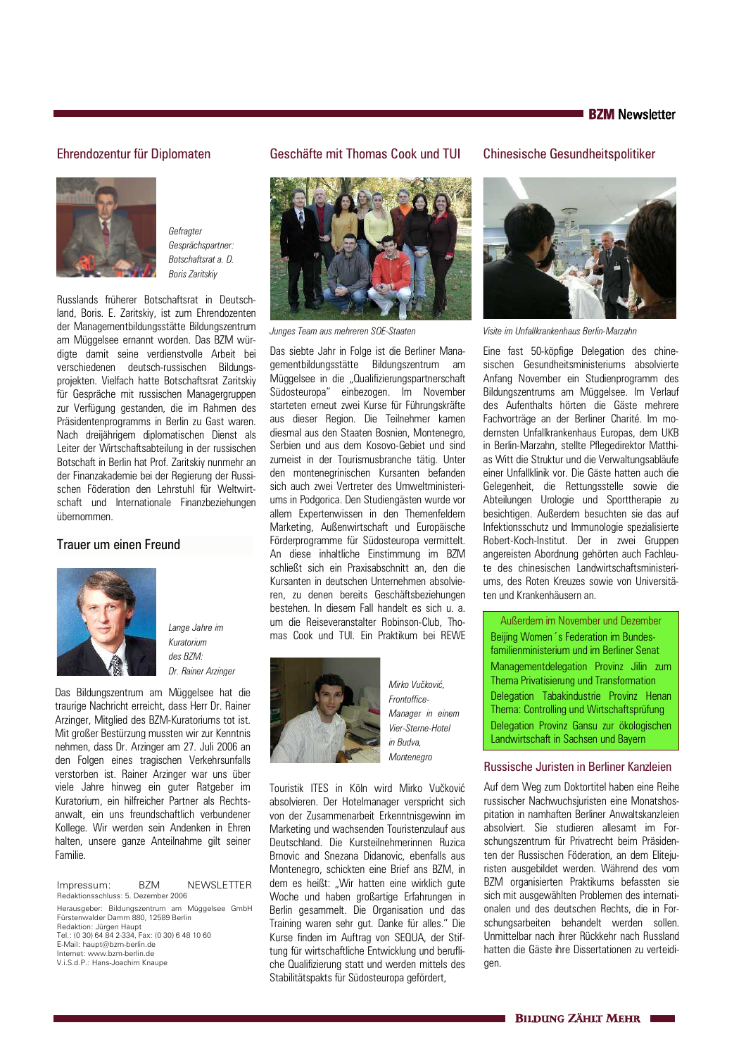#### Ehrendozentur für Diplomaten



Gefragter Gesprächspartner: Botschaftsrat a. D. **Roris Zaritskiv** 

Russlands früherer Botschaftsrat in Deutschland, Boris, E. Zaritskiy, ist zum Ehrendozenten der Managementbildungsstätte Bildungszentrum am Müggelsee ernannt worden. Das BZM würdigte damit seine verdienstvolle Arbeit bei verschiedenen deutsch-russischen Bildungsprojekten. Vielfach hatte Botschaftsrat Zaritskiv für Gespräche mit russischen Managergruppen zur Verfügung gestanden, die im Rahmen des Präsidentenprogramms in Berlin zu Gast waren. Nach dreijährigem diplomatischen Dienst als Leiter der Wirtschaftsabteilung in der russischen Botschaft in Berlin hat Prof. Zaritskiy nunmehr an der Finanzakademie bei der Regierung der Russischen Föderation den Lehrstuhl für Weltwirtschaft und Internationale Finanzbeziehungen ühernommen

#### Trauer um einen Freund



Lange Jahre im Kuratorium  $des$  RZM<sup>.</sup> Dr. Rainer Arzinger

Das Bildungszentrum am Müggelsee hat die traurige Nachricht erreicht, dass Herr Dr. Rainer Arzinger, Mitglied des BZM-Kuratoriums tot ist. Mit großer Bestürzung mussten wir zur Kenntnis nehmen, dass Dr. Arzinger am 27. Juli 2006 an den Folgen eines tragischen Verkehrsunfalls verstorben ist. Rainer Arzinger war uns über viele Jahre hinweg ein guter Ratgeber im Kuratorium, ein hilfreicher Partner als Rechtsanwalt, ein uns freundschaftlich verbundener Kollege. Wir werden sein Andenken in Ehren halten, unsere ganze Anteilnahme gilt seiner Familie

R<sub>7M</sub> NEWSLETTER Impressum: Redaktionsschluss: 5. Dezember 2006

Herausgeber: Bildungszentrum am Müggelsee GmbH Fürstenwalder Damm 880, 12589 Berlin<br>Redaktion: Jürgen Haupt Tel.: (0.30) 64 84 2-334. Fax: (0.30) 6 48 10 60 E-Mail: haupt@bzm-berlin.de Internet: www.bzm-berlin.de V.i.S.d.P.: Hans-Joachim Knaupe

### Geschäfte mit Thomas Cook und TUI

# **Chinesische Gesundheitspolitiker**



Junges Team aus mehreren SOE-Staaten

Das siebte Jahr in Folge ist die Berliner Managementbildungsstätte Bildungszentrum am Müggelsee in die "Qualifizierungspartnerschaft Südosteuropa" einbezogen. Im November starteten erneut zwei Kurse für Führungskräfte aus dieser Region. Die Teilnehmer kamen diesmal aus den Staaten Bosnien, Montenegro, Serbien und aus dem Kosovo-Gebiet und sind zumeist in der Tourismusbranche tätig. Unter den montenegrinischen Kursanten befanden sich auch zwei Vertreter des Umweltministeriums in Podgorica. Den Studiengästen wurde vor allem Expertenwissen in den Themenfeldern Marketing, Außenwirtschaft und Europäische Förderprogramme für Südosteuropa vermittelt. An diese inhaltliche Einstimmung im BZM schließt sich ein Praxisabschnitt an, den die Kursanten in deutschen Unternehmen absolvieren, zu denen bereits Geschäftsbeziehungen bestehen. In diesem Fall handelt es sich u. a. um die Reiseveranstalter Robinson-Club, Thomas Cook und TUI. Ein Praktikum bei REWE



Frontoffice-Manager in einem Vier-Sterne-Hotel in Budva Montenegro

Mirko Vučković

Touristik ITES in Köln wird Mirko Vučković absolvieren. Der Hotelmanager verspricht sich von der Zusammenarbeit Erkenntnisgewinn im Marketing und wachsenden Touristenzulauf aus Deutschland Die Kursteilnehmerinnen Buzica Brnovic and Snezana Didanovic, ebenfalls aus Montenegro, schickten eine Brief ans BZM, in dem es heißt: "Wir hatten eine wirklich gute Woche und haben großartige Erfahrungen in Berlin gesammelt. Die Organisation und das Training waren sehr gut. Danke für alles." Die Kurse finden im Auftrag von SEQUA, der Stiftung für wirtschaftliche Entwicklung und berufliche Qualifizierung statt und werden mittels des Stabilitätspakts für Südosteuropa gefördert,



Visite im Unfallkrankenhaus Berlin-Marzahn

Eine fast 50-köpfige Delegation des chinesischen Gesundheitsministeriums absolvierte Anfang November ein Studienprogramm des Bildungszentrums am Müggelsee. Im Verlauf des Aufenthalts hörten die Gäste mehrere Fachvorträge an der Berliner Charité. Im modernsten Unfallkrankenhaus Europas, dem UKB in Berlin-Marzahn, stellte Pflegedirektor Matthias Witt die Struktur und die Verwaltungsabläufe einer Unfallklinik vor. Die Gäste hatten auch die Gelegenheit, die Rettungsstelle sowie die Abteilungen Urologie und Sporttherapie zu besichtigen. Außerdem besuchten sie das auf Infektionsschutz und Immunologie spezialisierte Robert-Koch-Institut. Der in zwei Gruppen angereisten Abordnung gehörten auch Fachleute des chinesischen Landwirtschaftsministeriums, des Roten Kreuzes sowie von Universitäten und Krankenhäusern an.

Außerdem im November und Dezember Beijing Women 's Federation im Bundesfamilienministerium und im Berliner Senat Management delegation Provinz Jilin zum Thema Privatisierung und Transformation Delegation Tabakindustrie Provinz Henan Thema: Controlling und Wirtschaftsprüfung Delegation Provinz Gansu zur ökologischen Landwirtschaft in Sachsen und Bavern

#### Russische Juristen in Berliner Kanzleien

Auf dem Weg zum Doktortitel haben eine Reihe russischer Nachwuchsjuristen eine Monatshospitation in namhaften Berliner Anwaltskanzleien absolviert. Sie studieren allesamt im Forschungszentrum für Privatrecht beim Präsidenten der Russischen Föderation, an dem Eliteiuristen ausgebildet werden. Während des vom BZM organisierten Praktikums befassten sie sich mit ausgewählten Problemen des internationalen und des deutschen Rechts, die in Forschungsarbeiten behandelt werden sollen. Unmittelbar nach ihrer Rückkehr nach Russland hatten die Gäste ihre Dissertationen zu verteidigen.